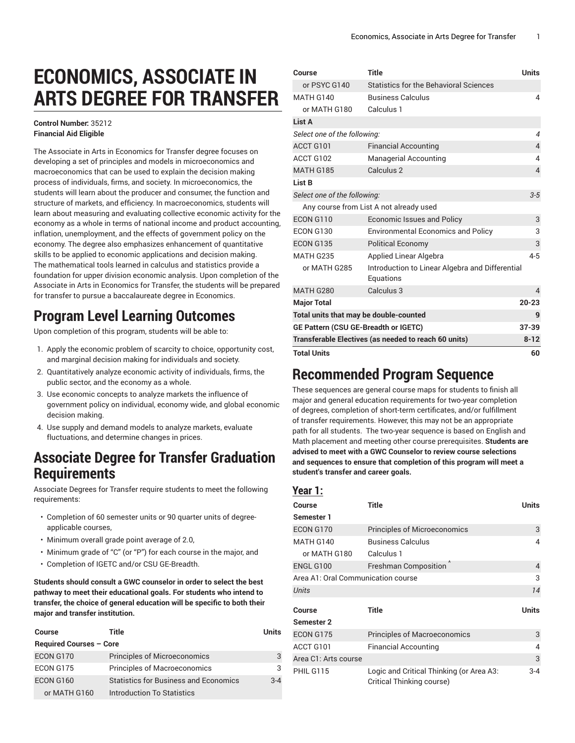# **ECONOMICS, ASSOCIATE IN ARTS DEGREE FOR TRANSFER**

#### **Control Number:** 35212 **Financial Aid Eligible**

The Associate in Arts in Economics for Transfer degree focuses on developing a set of principles and models in microeconomics and macroeconomics that can be used to explain the decision making process of individuals, firms, and society. In microeconomics, the students will learn about the producer and consumer, the function and structure of markets, and efficiency. In macroeconomics, students will learn about measuring and evaluating collective economic activity for the economy as a whole in terms of national income and product accounting, inflation, unemployment, and the effects of government policy on the economy. The degree also emphasizes enhancement of quantitative skills to be applied to economic applications and decision making. The mathematical tools learned in calculus and statistics provide a foundation for upper division economic analysis. Upon completion of the Associate in Arts in Economics for Transfer, the students will be prepared for transfer to pursue a baccalaureate degree in Economics.

## **Program Level Learning Outcomes**

Upon completion of this program, students will be able to:

- 1. Apply the economic problem of scarcity to choice, opportunity cost, and marginal decision making for individuals and society.
- 2. Quantitatively analyze economic activity of individuals, firms, the public sector, and the economy as a whole.
- 3. Use economic concepts to analyze markets the influence of government policy on individual, economy wide, and global economic decision making.
- 4. Use supply and demand models to analyze markets, evaluate fluctuations, and determine changes in prices.

### **Associate Degree for Transfer Graduation Requirements**

Associate Degrees for Transfer require students to meet the following requirements:

- Completion of 60 semester units or 90 quarter units of degreeapplicable courses,
- Minimum overall grade point average of 2.0,
- Minimum grade of "C" (or "P") for each course in the major, and
- Completion of IGETC and/or CSU GE-Breadth.

**Students should consult a GWC counselor in order to select the best pathway to meet their educational goals. For students who intend to transfer, the choice of general education will be specific to both their major and transfer institution.**

| Course                         | Title                                        | <b>Units</b> |  |
|--------------------------------|----------------------------------------------|--------------|--|
| <b>Required Courses - Core</b> |                                              |              |  |
| ECON G170                      | <b>Principles of Microeconomics</b>          | 3            |  |
| ECON G175                      | <b>Principles of Macroeconomics</b>          | 3            |  |
| ECON G160                      | <b>Statistics for Business and Economics</b> | $3 - 4$      |  |
| or MATH G160                   | Introduction To Statistics                   |              |  |

| Course                                               | Title                                                        | Units          |
|------------------------------------------------------|--------------------------------------------------------------|----------------|
| or PSYC G140                                         | Statistics for the Behavioral Sciences                       |                |
| <b>MATH G140</b>                                     | <b>Business Calculus</b>                                     | 4              |
| or MATH G180                                         | Calculus 1                                                   |                |
| List A                                               |                                                              |                |
| Select one of the following:                         |                                                              |                |
| ACCT G101                                            | <b>Financial Accounting</b>                                  | $\overline{4}$ |
| ACCT G102                                            | <b>Managerial Accounting</b>                                 | 4              |
| MATH G185                                            | Calculus <sub>2</sub>                                        | $\overline{4}$ |
| List B                                               |                                                              |                |
| Select one of the following:                         |                                                              | $3 - 5$        |
|                                                      | Any course from List A not already used                      |                |
| ECON G110                                            | <b>Economic Issues and Policy</b>                            | 3              |
| <b>ECON G130</b>                                     | <b>Environmental Economics and Policy</b>                    | 3              |
| <b>ECON G135</b>                                     | <b>Political Economy</b>                                     | 3              |
| MATH G235                                            | <b>Applied Linear Algebra</b>                                | $4 - 5$        |
| or MATH G285                                         | Introduction to Linear Algebra and Differential<br>Equations |                |
| MATH G280                                            | Calculus 3                                                   | 4              |
| <b>Major Total</b>                                   |                                                              | $20 - 23$      |
| Total units that may be double-counted               |                                                              | 9              |
| GE Pattern (CSU GE-Breadth or IGETC)                 |                                                              | $37 - 39$      |
| Transferable Electives (as needed to reach 60 units) |                                                              |                |
| <b>Total Units</b>                                   |                                                              | 60             |

### **Recommended Program Sequence**

These sequences are general course maps for students to finish all major and general education requirements for two-year completion of degrees, completion of short-term certificates, and/or fulfillment of transfer requirements. However, this may not be an appropriate path for all students. The two-year sequence is based on English and Math placement and meeting other course prerequisites. **Students are advised to meet with a GWC Counselor to review course selections and sequences to ensure that completion of this program will meet a student's transfer and career goals.**

#### **Year 1:**

| Course                             | <b>Title</b>                                                          | <b>Units</b>   |
|------------------------------------|-----------------------------------------------------------------------|----------------|
| Semester 1                         |                                                                       |                |
| ECON G170                          | <b>Principles of Microeconomics</b>                                   | 3              |
| MATH G140                          | <b>Business Calculus</b>                                              | 4              |
| or MATH G180                       | Calculus 1                                                            |                |
| ENGL G100                          | <b>Freshman Composition</b>                                           | 4              |
| Area A1: Oral Communication course |                                                                       | 3              |
| Units                              |                                                                       | 14             |
| Course                             | <b>Title</b>                                                          | <b>Units</b>   |
| Semester 2                         |                                                                       |                |
| ECON G175                          | <b>Principles of Macroeconomics</b>                                   | 3              |
| ACCT G101                          | <b>Financial Accounting</b>                                           | $\overline{4}$ |
| Area C1: Arts course               |                                                                       | 3              |
| PHIL G115                          | Logic and Critical Thinking (or Area A3:<br>Critical Thinking course) | $3 - 4$        |